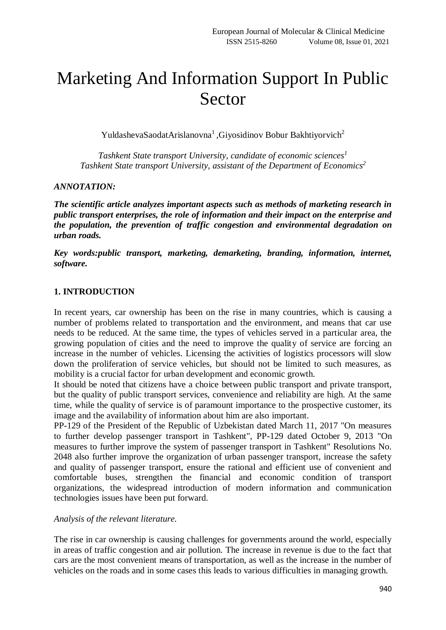# Marketing And Information Support In Public Sector

YuldashevaSaodatArislanovna<sup>1</sup>, Giyosidinov Bobur Bakhtiyorvich<sup>2</sup>

*Tashkent State transport University, candidate of economic sciences<sup>1</sup> Tashkent State transport University, assistant of the Department of Economics<sup>2</sup>*

#### *ANNOTATION:*

*The scientific article analyzes important aspects such as methods of marketing research in public transport enterprises, the role of information and their impact on the enterprise and the population, the prevention of traffic congestion and environmental degradation on urban roads.*

*Key words:public transport, marketing, demarketing, branding, information, internet, software.*

#### **1. INTRODUCTION**

In recent years, car ownership has been on the rise in many countries, which is causing a number of problems related to transportation and the environment, and means that car use needs to be reduced. At the same time, the types of vehicles served in a particular area, the growing population of cities and the need to improve the quality of service are forcing an increase in the number of vehicles. Licensing the activities of logistics processors will slow down the proliferation of service vehicles, but should not be limited to such measures, as mobility is a crucial factor for urban development and economic growth.

It should be noted that citizens have a choice between public transport and private transport, but the quality of public transport services, convenience and reliability are high. At the same time, while the quality of service is of paramount importance to the prospective customer, its image and the availability of information about him are also important.

PP-129 of the President of the Republic of Uzbekistan dated March 11, 2017 "On measures to further develop passenger transport in Tashkent", PP-129 dated October 9, 2013 "On measures to further improve the system of passenger transport in Tashkent" Resolutions No. 2048 also further improve the organization of urban passenger transport, increase the safety and quality of passenger transport, ensure the rational and efficient use of convenient and comfortable buses, strengthen the financial and economic condition of transport organizations, the widespread introduction of modern information and communication technologies issues have been put forward.

#### *Analysis of the relevant literature.*

The rise in car ownership is causing challenges for governments around the world, especially in areas of traffic congestion and air pollution. The increase in revenue is due to the fact that cars are the most convenient means of transportation, as well as the increase in the number of vehicles on the roads and in some cases this leads to various difficulties in managing growth.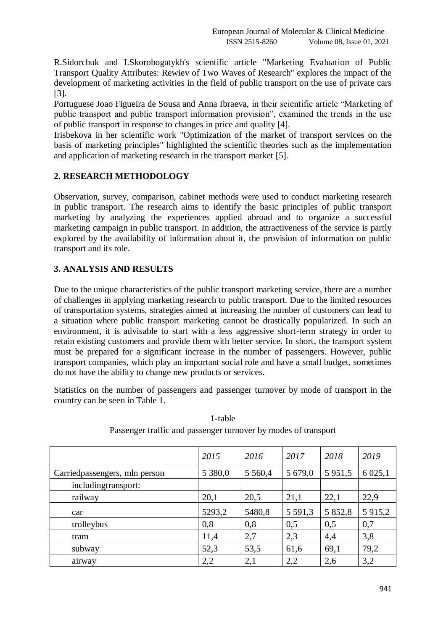R.Sidorchuk and I.Skorobogatykh's scientific article "Marketing Evaluation of Public Transport Quality Attributes: Rewiev of Two Waves of Research" explores the impact of the development of marketing activities in the field of public transport on the use of private cars [3].

Portuguese Joao Figueira de Sousa and Anna Ibraeva, in their scientific article "Marketing of public transport and public transport information provision", examined the trends in the use of public transport in response to changes in price and quality [4].

Irisbekova in her scientific work "Optimization of the market of transport services on the basis of marketing principles" highlighted the scientific theories such as the implementation and application of marketing research in the transport market [5].

## **2. RESEARCH METHODOLOGY**

Observation, survey, comparison, cabinet methods were used to conduct marketing research in public transport. The research aims to identify the basic principles of public transport marketing by analyzing the experiences applied abroad and to organize a successful marketing campaign in public transport. In addition, the attractiveness of the service is partly explored by the availability of information about it, the provision of information on public transport and its role.

## **3. ANALYSIS AND RESULTS**

Due to the unique characteristics of the public transport marketing service, there are a number of challenges in applying marketing research to public transport. Due to the limited resources of transportation systems, strategies aimed at increasing the number of customers can lead to a situation where public transport marketing cannot be drastically popularized. In such an environment, it is advisable to start with a less aggressive short-term strategy in order to retain existing customers and provide them with better service. In short, the transport system must be prepared for a significant increase in the number of passengers. However, public transport companies, which play an important social role and have a small budget, sometimes do not have the ability to change new products or services.

Statistics on the number of passengers and passenger turnover by mode of transport in the country can be seen in Table 1.

|                               | 2015    | 2016      | 2017        | 2018        | 2019        |
|-------------------------------|---------|-----------|-------------|-------------|-------------|
| Carriedpassengers, mln person | 5 380,0 | 5 5 6 0,4 | 5 679,0     | 5 9 5 1 , 5 | 6 0 25,1    |
| including transport:          |         |           |             |             |             |
| railway                       | 20,1    | 20,5      | 21,1        | 22,1        | 22,9        |
| car                           | 5293,2  | 5480,8    | 5 5 9 1 , 3 | 5 852,8     | 5 9 1 5 , 2 |
| trolleybus                    | 0,8     | 0,8       | 0,5         | 0,5         | 0,7         |
| tram                          | 11,4    | 2,7       | 2,3         | 4,4         | 3,8         |
| subway                        | 52,3    | 53,5      | 61,6        | 69,1        | 79,2        |
| airway                        | 2,2     | 2,1       | 2,2         | 2,6         | 3,2         |

1-table Passenger traffic and passenger turnover by modes of transport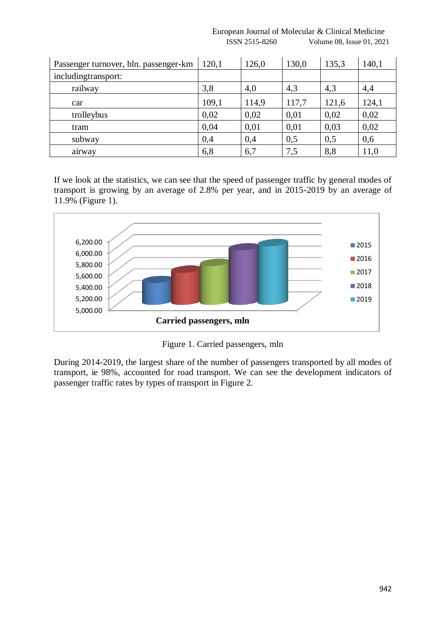| Passenger turnover, bln. passenger-km | 120,1 | 126,0 | 130,0 | 135,3 | 140,1 |
|---------------------------------------|-------|-------|-------|-------|-------|
| includingtransport:                   |       |       |       |       |       |
| railway                               | 3,8   | 4,0   | 4,3   | 4,3   | 4,4   |
| car                                   | 109,1 | 114,9 | 117,7 | 121,6 | 124,1 |
| trolleybus                            | 0,02  | 0,02  | 0,01  | 0,02  | 0,02  |
| tram                                  | 0,04  | 0,01  | 0,01  | 0,03  | 0,02  |
| subway                                | 0,4   | 0,4   | 0,5   | 0,5   | 0,6   |
| airway                                | 6,8   | 6,7   | 7,5   | 8,8   | 11,0  |

 European Journal of Molecular & Clinical Medicine ISSN 2515-8260 Volume 08, Issue 01, 2021

If we look at the statistics, we can see that the speed of passenger traffic by general modes of transport is growing by an average of 2.8% per year, and in 2015-2019 by an average of 11.9% (Figure 1).



Figure 1. Carried passengers, mln

During 2014-2019, the largest share of the number of passengers transported by all modes of transport, ie 98%, accounted for road transport. We can see the development indicators of passenger traffic rates by types of transport in Figure 2.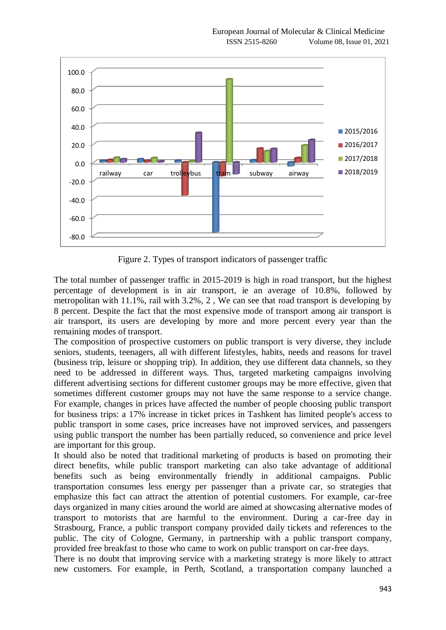

Figure 2. Types of transport indicators of passenger traffic

The total number of passenger traffic in 2015-2019 is high in road transport, but the highest percentage of development is in air transport, ie an average of 10.8%, followed by metropolitan with 11.1%, rail with 3.2%, 2 , We can see that road transport is developing by 8 percent. Despite the fact that the most expensive mode of transport among air transport is air transport, its users are developing by more and more percent every year than the remaining modes of transport.

The composition of prospective customers on public transport is very diverse, they include seniors, students, teenagers, all with different lifestyles, habits, needs and reasons for travel (business trip, leisure or shopping trip). In addition, they use different data channels, so they need to be addressed in different ways. Thus, targeted marketing campaigns involving different advertising sections for different customer groups may be more effective, given that sometimes different customer groups may not have the same response to a service change. For example, changes in prices have affected the number of people choosing public transport for business trips: a 17% increase in ticket prices in Tashkent has limited people's access to public transport in some cases, price increases have not improved services, and passengers using public transport the number has been partially reduced, so convenience and price level are important for this group.

It should also be noted that traditional marketing of products is based on promoting their direct benefits, while public transport marketing can also take advantage of additional benefits such as being environmentally friendly in additional campaigns. Public transportation consumes less energy per passenger than a private car, so strategies that emphasize this fact can attract the attention of potential customers. For example, car-free days organized in many cities around the world are aimed at showcasing alternative modes of transport to motorists that are harmful to the environment. During a car-free day in Strasbourg, France, a public transport company provided daily tickets and references to the public. The city of Cologne, Germany, in partnership with a public transport company, provided free breakfast to those who came to work on public transport on car-free days.

There is no doubt that improving service with a marketing strategy is more likely to attract new customers. For example, in Perth, Scotland, a transportation company launched a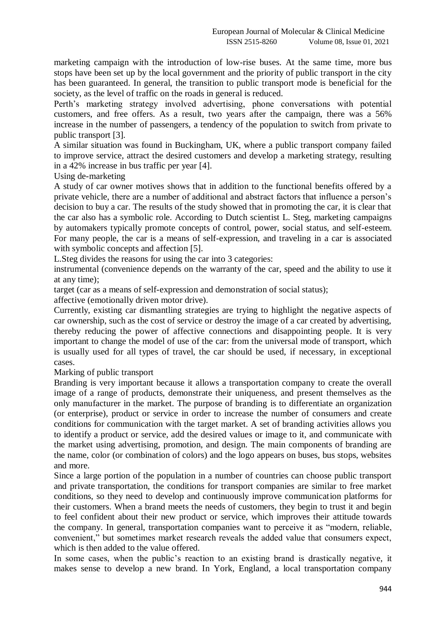marketing campaign with the introduction of low-rise buses. At the same time, more bus stops have been set up by the local government and the priority of public transport in the city has been guaranteed. In general, the transition to public transport mode is beneficial for the society, as the level of traffic on the roads in general is reduced.

Perth's marketing strategy involved advertising, phone conversations with potential customers, and free offers. As a result, two years after the campaign, there was a 56% increase in the number of passengers, a tendency of the population to switch from private to public transport [3].

A similar situation was found in Buckingham, UK, where a public transport company failed to improve service, attract the desired customers and develop a marketing strategy, resulting in a 42% increase in bus traffic per year [4].

Using de-marketing

A study of car owner motives shows that in addition to the functional benefits offered by a private vehicle, there are a number of additional and abstract factors that influence a person's decision to buy a car. The results of the study showed that in promoting the car, it is clear that the car also has a symbolic role. According to Dutch scientist L. Steg, marketing campaigns by automakers typically promote concepts of control, power, social status, and self-esteem. For many people, the car is a means of self-expression, and traveling in a car is associated with symbolic concepts and affection [5].

L.Steg divides the reasons for using the car into 3 categories:

instrumental (convenience depends on the warranty of the car, speed and the ability to use it at any time);

target (car as a means of self-expression and demonstration of social status);

affective (emotionally driven motor drive).

Currently, existing car dismantling strategies are trying to highlight the negative aspects of car ownership, such as the cost of service or destroy the image of a car created by advertising, thereby reducing the power of affective connections and disappointing people. It is very important to change the model of use of the car: from the universal mode of transport, which is usually used for all types of travel, the car should be used, if necessary, in exceptional cases.

Marking of public transport

Branding is very important because it allows a transportation company to create the overall image of a range of products, demonstrate their uniqueness, and present themselves as the only manufacturer in the market. The purpose of branding is to differentiate an organization (or enterprise), product or service in order to increase the number of consumers and create conditions for communication with the target market. A set of branding activities allows you to identify a product or service, add the desired values or image to it, and communicate with the market using advertising, promotion, and design. The main components of branding are the name, color (or combination of colors) and the logo appears on buses, bus stops, websites and more.

Since a large portion of the population in a number of countries can choose public transport and private transportation, the conditions for transport companies are similar to free market conditions, so they need to develop and continuously improve communication platforms for their customers. When a brand meets the needs of customers, they begin to trust it and begin to feel confident about their new product or service, which improves their attitude towards the company. In general, transportation companies want to perceive it as "modern, reliable, convenient," but sometimes market research reveals the added value that consumers expect, which is then added to the value offered.

In some cases, when the public's reaction to an existing brand is drastically negative, it makes sense to develop a new brand. In York, England, a local transportation company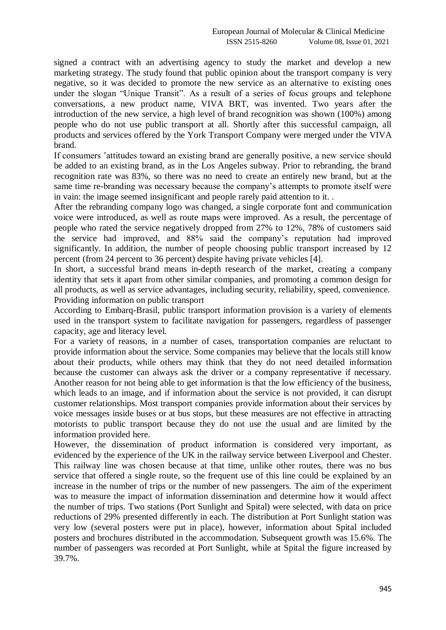signed a contract with an advertising agency to study the market and develop a new marketing strategy. The study found that public opinion about the transport company is very negative, so it was decided to promote the new service as an alternative to existing ones under the slogan "Unique Transit". As a result of a series of focus groups and telephone conversations, a new product name, VIVA BRT, was invented. Two years after the introduction of the new service, a high level of brand recognition was shown (100%) among people who do not use public transport at all. Shortly after this successful campaign, all products and services offered by the York Transport Company were merged under the VIVA brand.

If consumers 'attitudes toward an existing brand are generally positive, a new service should be added to an existing brand, as in the Los Angeles subway. Prior to rebranding, the brand recognition rate was 83%, so there was no need to create an entirely new brand, but at the same time re-branding was necessary because the company's attempts to promote itself were in vain: the image seemed insignificant and people rarely paid attention to it. .

After the rebranding company logo was changed, a single corporate font and communication voice were introduced, as well as route maps were improved. As a result, the percentage of people who rated the service negatively dropped from 27% to 12%, 78% of customers said the service had improved, and 88% said the company's reputation had improved significantly. In addition, the number of people choosing public transport increased by 12 percent (from 24 percent to 36 percent) despite having private vehicles [4].

In short, a successful brand means in-depth research of the market, creating a company identity that sets it apart from other similar companies, and promoting a common design for all products, as well as service advantages, including security, reliability, speed, convenience. Providing information on public transport

According to Embarq-Brasil, public transport information provision is a variety of elements used in the transport system to facilitate navigation for passengers, regardless of passenger capacity, age and literacy level.

For a variety of reasons, in a number of cases, transportation companies are reluctant to provide information about the service. Some companies may believe that the locals still know about their products, while others may think that they do not need detailed information because the customer can always ask the driver or a company representative if necessary. Another reason for not being able to get information is that the low efficiency of the business, which leads to an image, and if information about the service is not provided, it can disrupt customer relationships. Most transport companies provide information about their services by voice messages inside buses or at bus stops, but these measures are not effective in attracting motorists to public transport because they do not use the usual and are limited by the information provided here.

However, the dissemination of product information is considered very important, as evidenced by the experience of the UK in the railway service between Liverpool and Chester. This railway line was chosen because at that time, unlike other routes, there was no bus service that offered a single route, so the frequent use of this line could be explained by an increase in the number of trips or the number of new passengers. The aim of the experiment was to measure the impact of information dissemination and determine how it would affect the number of trips. Two stations (Port Sunlight and Spital) were selected, with data on price reductions of 29% presented differently in each. The distribution at Port Sunlight station was very low (several posters were put in place), however, information about Spital included posters and brochures distributed in the accommodation. Subsequent growth was 15.6%. The number of passengers was recorded at Port Sunlight, while at Spital the figure increased by 39.7%.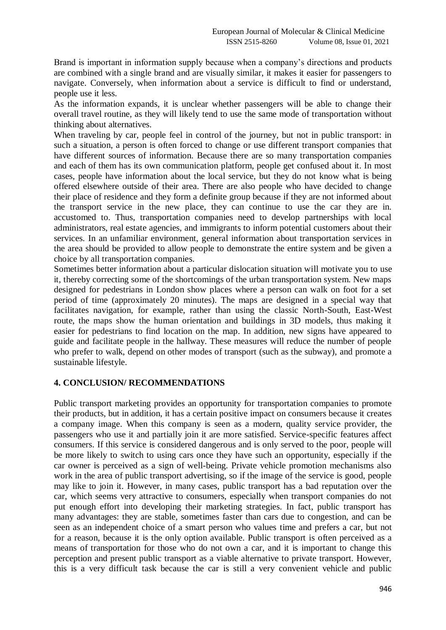Brand is important in information supply because when a company's directions and products are combined with a single brand and are visually similar, it makes it easier for passengers to navigate. Conversely, when information about a service is difficult to find or understand, people use it less.

As the information expands, it is unclear whether passengers will be able to change their overall travel routine, as they will likely tend to use the same mode of transportation without thinking about alternatives.

When traveling by car, people feel in control of the journey, but not in public transport: in such a situation, a person is often forced to change or use different transport companies that have different sources of information. Because there are so many transportation companies and each of them has its own communication platform, people get confused about it. In most cases, people have information about the local service, but they do not know what is being offered elsewhere outside of their area. There are also people who have decided to change their place of residence and they form a definite group because if they are not informed about the transport service in the new place, they can continue to use the car they are in. accustomed to. Thus, transportation companies need to develop partnerships with local administrators, real estate agencies, and immigrants to inform potential customers about their services. In an unfamiliar environment, general information about transportation services in the area should be provided to allow people to demonstrate the entire system and be given a choice by all transportation companies.

Sometimes better information about a particular dislocation situation will motivate you to use it, thereby correcting some of the shortcomings of the urban transportation system. New maps designed for pedestrians in London show places where a person can walk on foot for a set period of time (approximately 20 minutes). The maps are designed in a special way that facilitates navigation, for example, rather than using the classic North-South, East-West route, the maps show the human orientation and buildings in 3D models, thus making it easier for pedestrians to find location on the map. In addition, new signs have appeared to guide and facilitate people in the hallway. These measures will reduce the number of people who prefer to walk, depend on other modes of transport (such as the subway), and promote a sustainable lifestyle.

### **4. CONCLUSION/ RECOMMENDATIONS**

Public transport marketing provides an opportunity for transportation companies to promote their products, but in addition, it has a certain positive impact on consumers because it creates a company image. When this company is seen as a modern, quality service provider, the passengers who use it and partially join it are more satisfied. Service-specific features affect consumers. If this service is considered dangerous and is only served to the poor, people will be more likely to switch to using cars once they have such an opportunity, especially if the car owner is perceived as a sign of well-being. Private vehicle promotion mechanisms also work in the area of public transport advertising, so if the image of the service is good, people may like to join it. However, in many cases, public transport has a bad reputation over the car, which seems very attractive to consumers, especially when transport companies do not put enough effort into developing their marketing strategies. In fact, public transport has many advantages: they are stable, sometimes faster than cars due to congestion, and can be seen as an independent choice of a smart person who values time and prefers a car, but not for a reason, because it is the only option available. Public transport is often perceived as a means of transportation for those who do not own a car, and it is important to change this perception and present public transport as a viable alternative to private transport. However, this is a very difficult task because the car is still a very convenient vehicle and public